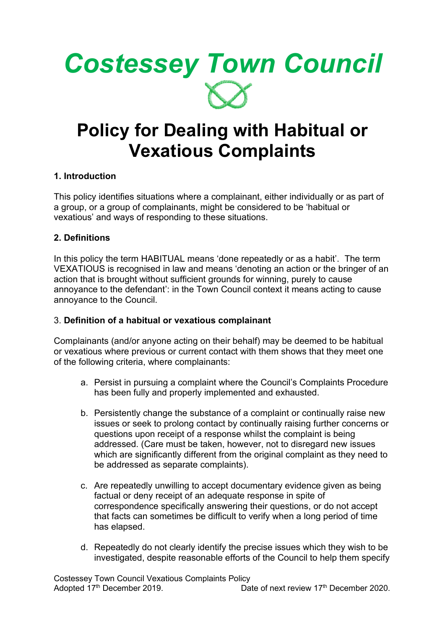

# **Policy for Dealing with Habitual or Vexatious Complaints**

# **1. Introduction**

This policy identifies situations where a complainant, either individually or as part of a group, or a group of complainants, might be considered to be 'habitual or vexatious' and ways of responding to these situations.

# **2. Definitions**

In this policy the term HABITUAL means 'done repeatedly or as a habit'. The term VEXATIOUS is recognised in law and means 'denoting an action or the bringer of an action that is brought without sufficient grounds for winning, purely to cause annoyance to the defendant': in the Town Council context it means acting to cause annoyance to the Council.

### 3. **Definition of a habitual or vexatious complainant**

Complainants (and/or anyone acting on their behalf) may be deemed to be habitual or vexatious where previous or current contact with them shows that they meet one of the following criteria, where complainants:

- a. Persist in pursuing a complaint where the Council's Complaints Procedure has been fully and properly implemented and exhausted.
- b. Persistently change the substance of a complaint or continually raise new issues or seek to prolong contact by continually raising further concerns or questions upon receipt of a response whilst the complaint is being addressed. (Care must be taken, however, not to disregard new issues which are significantly different from the original complaint as they need to be addressed as separate complaints).
- c. Are repeatedly unwilling to accept documentary evidence given as being factual or deny receipt of an adequate response in spite of correspondence specifically answering their questions, or do not accept that facts can sometimes be difficult to verify when a long period of time has elapsed.
- d. Repeatedly do not clearly identify the precise issues which they wish to be investigated, despite reasonable efforts of the Council to help them specify

Costessey Town Council Vexatious Complaints Policy Adopted 17<sup>th</sup> December 2019. Date of next review 17<sup>th</sup> December 2020.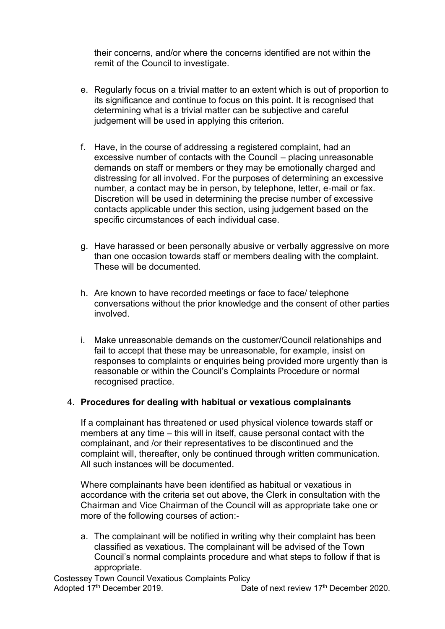their concerns, and/or where the concerns identified are not within the remit of the Council to investigate.

- e. Regularly focus on a trivial matter to an extent which is out of proportion to its significance and continue to focus on this point. It is recognised that determining what is a trivial matter can be subjective and careful judgement will be used in applying this criterion.
- f. Have, in the course of addressing a registered complaint, had an excessive number of contacts with the Council – placing unreasonable demands on staff or members or they may be emotionally charged and distressing for all involved. For the purposes of determining an excessive number, a contact may be in person, by telephone, letter, e‐mail or fax. Discretion will be used in determining the precise number of excessive contacts applicable under this section, using judgement based on the specific circumstances of each individual case.
- g. Have harassed or been personally abusive or verbally aggressive on more than one occasion towards staff or members dealing with the complaint. These will be documented.
- h. Are known to have recorded meetings or face to face/ telephone conversations without the prior knowledge and the consent of other parties involved.
- i. Make unreasonable demands on the customer/Council relationships and fail to accept that these may be unreasonable, for example, insist on responses to complaints or enquiries being provided more urgently than is reasonable or within the Council's Complaints Procedure or normal recognised practice.

### 4. **Procedures for dealing with habitual or vexatious complainants**

If a complainant has threatened or used physical violence towards staff or members at any time – this will in itself, cause personal contact with the complainant, and /or their representatives to be discontinued and the complaint will, thereafter, only be continued through written communication. All such instances will be documented.

Where complainants have been identified as habitual or vexatious in accordance with the criteria set out above, the Clerk in consultation with the Chairman and Vice Chairman of the Council will as appropriate take one or more of the following courses of action:‐

a. The complainant will be notified in writing why their complaint has been classified as vexatious. The complainant will be advised of the Town Council's normal complaints procedure and what steps to follow if that is appropriate.

Costessey Town Council Vexatious Complaints Policy Adopted 17<sup>th</sup> December 2019. Date of next review 17<sup>th</sup> December 2020.